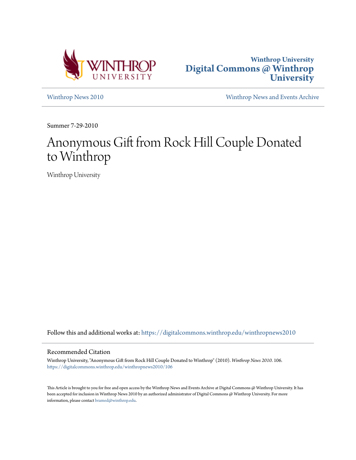



[Winthrop News 2010](https://digitalcommons.winthrop.edu/winthropnews2010?utm_source=digitalcommons.winthrop.edu%2Fwinthropnews2010%2F106&utm_medium=PDF&utm_campaign=PDFCoverPages) [Winthrop News and Events Archive](https://digitalcommons.winthrop.edu/winthropnewsarchives?utm_source=digitalcommons.winthrop.edu%2Fwinthropnews2010%2F106&utm_medium=PDF&utm_campaign=PDFCoverPages)

Summer 7-29-2010

# Anonymous Gift from Rock Hill Couple Donated to Winthrop

Winthrop University

Follow this and additional works at: [https://digitalcommons.winthrop.edu/winthropnews2010](https://digitalcommons.winthrop.edu/winthropnews2010?utm_source=digitalcommons.winthrop.edu%2Fwinthropnews2010%2F106&utm_medium=PDF&utm_campaign=PDFCoverPages)

### Recommended Citation

Winthrop University, "Anonymous Gift from Rock Hill Couple Donated to Winthrop" (2010). *Winthrop News 2010*. 106. [https://digitalcommons.winthrop.edu/winthropnews2010/106](https://digitalcommons.winthrop.edu/winthropnews2010/106?utm_source=digitalcommons.winthrop.edu%2Fwinthropnews2010%2F106&utm_medium=PDF&utm_campaign=PDFCoverPages)

This Article is brought to you for free and open access by the Winthrop News and Events Archive at Digital Commons @ Winthrop University. It has been accepted for inclusion in Winthrop News 2010 by an authorized administrator of Digital Commons @ Winthrop University. For more information, please contact [bramed@winthrop.edu](mailto:bramed@winthrop.edu).